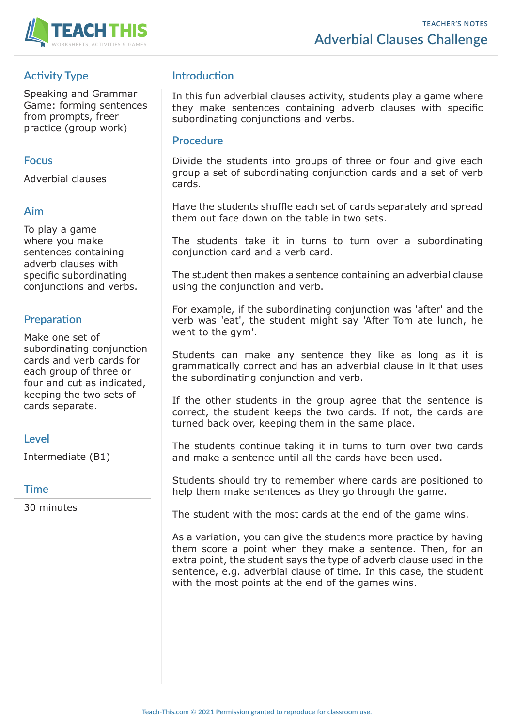

# **Activity Type**

Speaking and Grammar Game: forming sentences from prompts, freer practice (group work)

## **Focus**

Adverbial clauses

## **Aim**

To play a game where you make sentences containing adverb clauses with specific subordinating conjunctions and verbs.

# **Preparation**

Make one set of subordinating conjunction cards and verb cards for each group of three or four and cut as indicated, keeping the two sets of cards separate.

### **Level**

Intermediate (B1)

### **Time**

30 minutes

# **Introduction**

In this fun adverbial clauses activity, students play a game where they make sentences containing adverb clauses with specific subordinating conjunctions and verbs.

#### **Procedure**

Divide the students into groups of three or four and give each group a set of subordinating conjunction cards and a set of verb cards.

Have the students shuffle each set of cards separately and spread them out face down on the table in two sets.

The students take it in turns to turn over a subordinating conjunction card and a verb card.

The student then makes a sentence containing an adverbial clause using the conjunction and verb.

For example, if the subordinating conjunction was 'after' and the verb was 'eat', the student might say 'After Tom ate lunch, he went to the gym'.

Students can make any sentence they like as long as it is grammatically correct and has an adverbial clause in it that uses the subordinating conjunction and verb.

If the other students in the group agree that the sentence is correct, the student keeps the two cards. If not, the cards are turned back over, keeping them in the same place.

The students continue taking it in turns to turn over two cards and make a sentence until all the cards have been used.

Students should try to remember where cards are positioned to help them make sentences as they go through the game.

The student with the most cards at the end of the game wins.

As a variation, you can give the students more practice by having them score a point when they make a sentence. Then, for an extra point, the student says the type of adverb clause used in the sentence, e.g. adverbial clause of time. In this case, the student with the most points at the end of the games wins.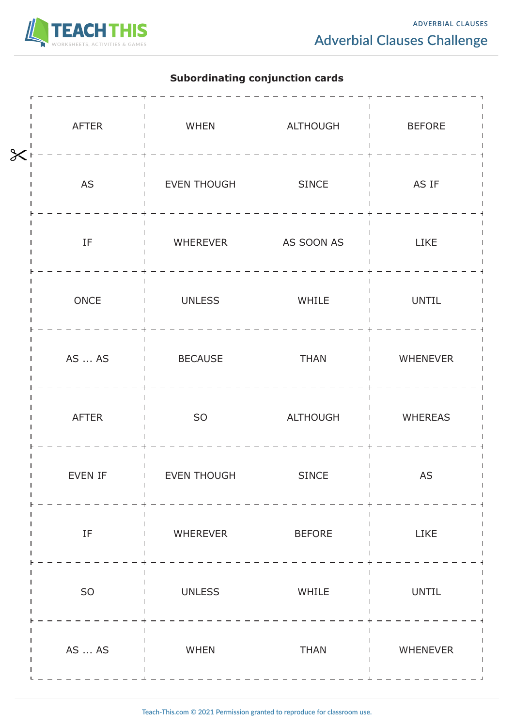

## **Subordinating conjunction cards**

| $\overline{\mathsf{X}}$ | <b>AFTER</b>               | WHEN               | ALTHOUGH      | <b>BEFORE</b>   |
|-------------------------|----------------------------|--------------------|---------------|-----------------|
|                         | $\mathsf{AS}$              | <b>EVEN THOUGH</b> | SINCE         | AS IF           |
|                         | $\ensuremath{\mathsf{IF}}$ | WHEREVER           | AS SOON AS    | LIKE            |
|                         | $\mathsf{ONCE}$            | <b>UNLESS</b>      | WHILE         | <b>UNTIL</b>    |
|                         | AS  AS                     | <b>BECAUSE</b>     | <b>THAN</b>   | WHENEVER        |
|                         | <b>AFTER</b>               | SO                 | ALTHOUGH      | <b>WHEREAS</b>  |
|                         | EVEN IF                    | <b>EVEN THOUGH</b> | <b>SINCE</b>  | AS              |
|                         | $\ensuremath{\mathsf{IF}}$ | WHEREVER           | <b>BEFORE</b> | LIKE            |
|                         | ${\sf SO}$                 | <b>UNLESS</b>      | WHILE         | <b>UNTIL</b>    |
|                         | AS  AS                     | WHEN               | <b>THAN</b>   | <b>WHENEVER</b> |